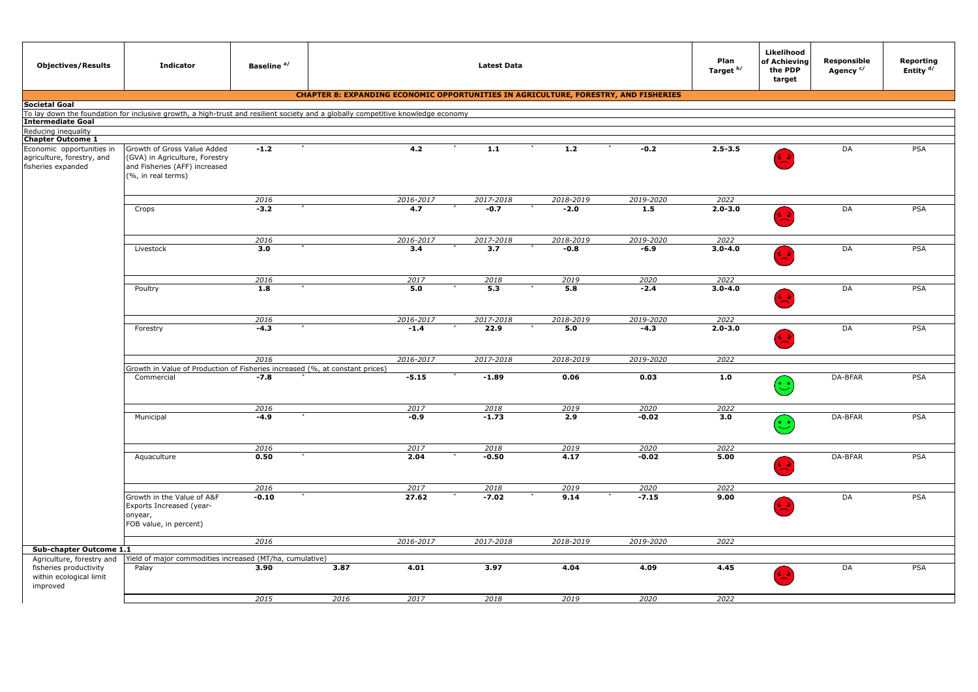| <b>Objectives/Results</b>                                     | <b>Indicator</b>                                                                                                                 | Baseline <sup>a/</sup> | <b>Latest Data</b> |                                                                                            |                     |                     |                  |                     | Likelihood<br>of Achieving<br>the PDP<br>target | Responsible<br>Agency <sup>c/</sup> | Reporting<br>Entity <sup>d/</sup> |
|---------------------------------------------------------------|----------------------------------------------------------------------------------------------------------------------------------|------------------------|--------------------|--------------------------------------------------------------------------------------------|---------------------|---------------------|------------------|---------------------|-------------------------------------------------|-------------------------------------|-----------------------------------|
|                                                               |                                                                                                                                  |                        |                    | <b>CHAPTER 8: EXPANDING ECONOMIC OPPORTUNITIES IN AGRICULTURE, FORESTRY, AND FISHERIES</b> |                     |                     |                  |                     |                                                 |                                     |                                   |
| <b>Societal Goal</b>                                          |                                                                                                                                  |                        |                    |                                                                                            |                     |                     |                  |                     |                                                 |                                     |                                   |
|                                                               | To lay down the foundation for inclusive growth, a high-trust and resilient society and a globally competitive knowledge economy |                        |                    |                                                                                            |                     |                     |                  |                     |                                                 |                                     |                                   |
| <b>Intermediate Goal</b>                                      |                                                                                                                                  |                        |                    |                                                                                            |                     |                     |                  |                     |                                                 |                                     |                                   |
| Reducing inequality<br><b>Chapter Outcome 1</b>               |                                                                                                                                  |                        |                    |                                                                                            |                     |                     |                  |                     |                                                 |                                     |                                   |
| Economic opportunities in                                     | Growth of Gross Value Added                                                                                                      | $-1.2$                 |                    | 4.2                                                                                        | $1.1$               | 1.2                 | $-0.2$           | $2.5 - 3.5$         |                                                 | DA                                  | PSA                               |
| agriculture, forestry, and<br>fisheries expanded              | (GVA) in Agriculture, Forestry<br>and Fisheries (AFF) increased<br>(%, in real terms)                                            |                        |                    |                                                                                            |                     |                     |                  |                     |                                                 |                                     |                                   |
|                                                               |                                                                                                                                  |                        |                    |                                                                                            |                     |                     |                  |                     |                                                 |                                     |                                   |
|                                                               |                                                                                                                                  | 2016<br>$-3.2$         |                    | 2016-2017<br>4.7                                                                           | 2017-2018<br>$-0.7$ | 2018-2019<br>$-2.0$ | 2019-2020<br>1.5 | 2022<br>$2.0 - 3.0$ |                                                 | DA                                  | PSA                               |
|                                                               | Crops                                                                                                                            |                        |                    |                                                                                            |                     |                     |                  |                     |                                                 |                                     |                                   |
|                                                               |                                                                                                                                  | 2016                   |                    | 2016-2017                                                                                  | 2017-2018           | 2018-2019           | 2019-2020        | 2022                |                                                 |                                     |                                   |
|                                                               | Livestock                                                                                                                        | 3.0                    |                    | 3.4                                                                                        | 3.7                 | $-0.8$              | $-6.9$           | $3.0 - 4.0$         |                                                 | DA                                  | PSA                               |
|                                                               |                                                                                                                                  |                        |                    |                                                                                            |                     |                     |                  |                     | ¦ ≱                                             |                                     |                                   |
|                                                               |                                                                                                                                  | 2016                   |                    | 2017                                                                                       | 2018                | 2019                | 2020             | 2022                |                                                 |                                     |                                   |
|                                                               | Poultry                                                                                                                          | 1.8                    |                    | 5.0                                                                                        | 5.3                 | 5.8                 | $-2.4$           | $3.0 - 4.0$         |                                                 | DA                                  | <b>PSA</b>                        |
|                                                               |                                                                                                                                  | 2016                   |                    | 2016-2017                                                                                  | 2017-2018           | 2018-2019           | 2019-2020        | 2022                |                                                 |                                     |                                   |
|                                                               | Forestry                                                                                                                         | $-4.3$                 |                    | $-1.4$                                                                                     | 22.9                | 5.0                 | $-4.3$           | $2.0 - 3.0$         |                                                 | DA                                  | PSA                               |
|                                                               |                                                                                                                                  | 2016                   |                    | 2016-2017                                                                                  | 2017-2018           | 2018-2019           | 2019-2020        | 2022                |                                                 |                                     |                                   |
|                                                               | Growth in Value of Production of Fisheries increased (%, at constant prices)                                                     |                        |                    |                                                                                            |                     |                     |                  |                     |                                                 |                                     |                                   |
|                                                               | Commercial                                                                                                                       | $-7.8$                 |                    | $-5.15$                                                                                    | $-1.89$             | 0.06                | 0.03             | 1.0                 | $\bullet$                                       | DA-BFAR                             | PSA                               |
|                                                               |                                                                                                                                  | 2016                   |                    | 2017                                                                                       | 2018                | 2019                | 2020             | 2022                |                                                 |                                     |                                   |
|                                                               | Municipal                                                                                                                        | $-4.9$                 |                    | $-0.9$                                                                                     | $-1.73$             | 2.9                 | $-0.02$          | 3.0                 | $\ddot{\cdot}$                                  | DA-BFAR                             | PSA                               |
|                                                               |                                                                                                                                  | 2016                   |                    | 2017                                                                                       | 2018                | 2019                | 2020             | 2022                |                                                 |                                     |                                   |
|                                                               | Aquaculture                                                                                                                      | 0.50                   |                    | 2.04                                                                                       | $-0.50$             | 4.17                | $-0.02$          | 5.00                |                                                 | DA-BFAR                             | <b>PSA</b>                        |
|                                                               |                                                                                                                                  | 2016                   |                    | 2017                                                                                       | 2018                | 2019                | 2020             | 2022                |                                                 |                                     |                                   |
|                                                               | Growth in the Value of A&F<br>Exports Increased (year-<br>onyear,<br>FOB value, in percent)                                      | $-0.10$                |                    | 27.62                                                                                      | $-7.02$             | 9.14                | $-7.15$          | 9.00                | <b>S</b>                                        | DA                                  | PSA                               |
|                                                               |                                                                                                                                  | 2016                   |                    | 2016-2017                                                                                  | 2017-2018           | 2018-2019           | 2019-2020        | 2022                |                                                 |                                     |                                   |
| Sub-chapter Outcome 1.1                                       |                                                                                                                                  |                        |                    |                                                                                            |                     |                     |                  |                     |                                                 |                                     |                                   |
| Agriculture, forestry and                                     | Yield of major commodities increased (MT/ha, cumulative)                                                                         |                        |                    |                                                                                            |                     |                     |                  |                     |                                                 |                                     |                                   |
| fisheries productivity<br>within ecological limit<br>improved | Palay                                                                                                                            | 3.90                   | 3.87               | 4.01                                                                                       | 3.97                | 4.04                | 4.09             | 4.45                |                                                 | DA                                  | <b>PSA</b>                        |
|                                                               |                                                                                                                                  | 2015                   | 2016               | 2017                                                                                       | 2018                | 2019                | 2020             | 2022                |                                                 |                                     |                                   |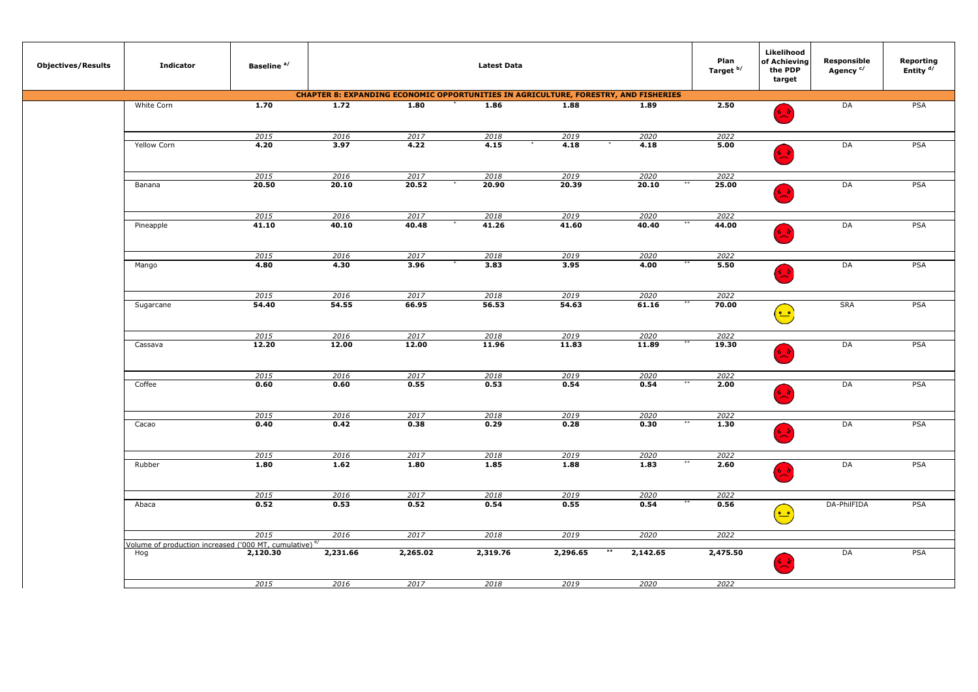| <b>Objectives/Results</b> | <b>Indicator</b>                                                   | Baseline <sup>a/</sup> |          |          | <b>Latest Data</b>                                                                         |          |          | Plan<br>Target b/ | Likelihood<br>of Achieving<br>the PDP<br>target | Responsible<br>Agency <sup>c/</sup> | Reporting<br>Entity <sup>d/</sup> |
|---------------------------|--------------------------------------------------------------------|------------------------|----------|----------|--------------------------------------------------------------------------------------------|----------|----------|-------------------|-------------------------------------------------|-------------------------------------|-----------------------------------|
|                           |                                                                    |                        |          |          | <b>CHAPTER 8: EXPANDING ECONOMIC OPPORTUNITIES IN AGRICULTURE, FORESTRY, AND FISHERIES</b> |          |          |                   |                                                 |                                     |                                   |
|                           | White Corn                                                         | 1.70                   | 1.72     | 1.80     | 1.86                                                                                       | 1.88     | 1.89     | 2.50              | نمية                                            | DA                                  | <b>PSA</b>                        |
|                           |                                                                    | 2015                   | 2016     | 2017     | 2018                                                                                       | 2019     | 2020     | 2022              |                                                 |                                     |                                   |
|                           | Yellow Corn                                                        | 4.20                   | 3.97     | 4.22     | 4.15                                                                                       | 4.18     | 4.18     | 5.00              |                                                 | DA                                  | PSA                               |
|                           |                                                                    |                        |          |          |                                                                                            |          |          |                   |                                                 |                                     |                                   |
|                           |                                                                    | 2015                   | 2016     | 2017     | 2018                                                                                       | 2019     | 2020     | 2022              |                                                 |                                     |                                   |
|                           | Banana                                                             | 20.50                  | 20.10    | 20.52    | 20.90                                                                                      | 20.39    | 20.10    | 25.00             | $\frac{1}{2}$                                   | DA                                  | <b>PSA</b>                        |
|                           |                                                                    | 2015                   | 2016     | 2017     | 2018                                                                                       | 2019     | 2020     | 2022              |                                                 |                                     |                                   |
|                           | Pineapple                                                          | 41.10                  | 40.10    | 40.48    | 41.26                                                                                      | 41.60    | 40.40    | 44.00             | $\frac{1}{2}$                                   | DA                                  | <b>PSA</b>                        |
|                           |                                                                    | 2015                   | 2016     | 2017     | 2018                                                                                       | 2019     | 2020     | 2022              |                                                 |                                     |                                   |
|                           | Mango                                                              | 4.80                   | 4.30     | 3.96     | 3.83                                                                                       | 3.95     | 4.00     | 5.50              | $\frac{1}{2}$                                   | DA                                  | PSA                               |
|                           |                                                                    | 2015                   | 2016     | 2017     | 2018                                                                                       | 2019     | 2020     | 2022              |                                                 |                                     |                                   |
|                           | Sugarcane                                                          | 54.40                  | 54.55    | 66.95    | 56.53                                                                                      | 54.63    | 61.16    | 70.00             | $\left(\frac{\bullet}{\bullet}\right)$          | <b>SRA</b>                          | <b>PSA</b>                        |
|                           |                                                                    | 2015                   | 2016     | 2017     | 2018                                                                                       | 2019     | 2020     | 2022              |                                                 |                                     |                                   |
|                           | Cassava                                                            | 12.20                  | 12.00    | 12.00    | 11.96                                                                                      | 11.83    | 11.89    | 19.30             | فيبة                                            | DA                                  | PSA                               |
|                           |                                                                    | 2015                   | 2016     | 2017     | 2018                                                                                       | 2019     | 2020     | 2022              |                                                 |                                     |                                   |
|                           | Coffee                                                             | 0.60                   | 0.60     | 0.55     | 0.53                                                                                       | 0.54     | 0.54     | 2.00              | $\frac{1}{2}$                                   | DA                                  | <b>PSA</b>                        |
|                           |                                                                    | 2015                   | 2016     | 2017     | 2018                                                                                       | 2019     | 2020     | 2022              |                                                 |                                     |                                   |
|                           | Cacao                                                              | 0.40                   | 0.42     | 0.38     | 0.29                                                                                       | 0.28     | 0.30     | 1.30              |                                                 | DA                                  | PSA                               |
|                           |                                                                    | 2015                   | 2016     | 2017     | 2018                                                                                       | 2019     | 2020     | 2022              |                                                 |                                     |                                   |
|                           | Rubber                                                             | 1.80                   | 1.62     | 1.80     | 1.85                                                                                       | 1.88     | 1.83     | 2.60              | نمية                                            | DA                                  | PSA                               |
|                           |                                                                    | 2015                   | 2016     | 2017     | 2018                                                                                       | 2019     | 2020     | 2022              |                                                 |                                     |                                   |
|                           | Abaca                                                              | 0.52                   | 0.53     | 0.52     | 0.54                                                                                       | 0.55     | 0.54     | 0.56              | $\left(\frac{\bullet\bullet}{\bullet}\right)$   | DA-PhilFIDA                         | <b>PSA</b>                        |
|                           |                                                                    | 2015                   | 2016     | 2017     | 2018                                                                                       | 2019     | 2020     | 2022              |                                                 |                                     |                                   |
|                           | /olume of production increased ('000 MT, cumulative) <sup>e/</sup> |                        |          |          |                                                                                            |          | $***$    |                   |                                                 |                                     |                                   |
|                           | Hog                                                                | 2,120.30               | 2,231.66 | 2,265.02 | 2,319.76                                                                                   | 2,296.65 | 2,142.65 | 2,475.50          | في                                              | DA                                  | <b>PSA</b>                        |
|                           |                                                                    | 2015                   | 2016     | 2017     | 2018                                                                                       | 2019     | 2020     | 2022              |                                                 |                                     |                                   |
|                           |                                                                    |                        |          |          |                                                                                            |          |          |                   |                                                 |                                     |                                   |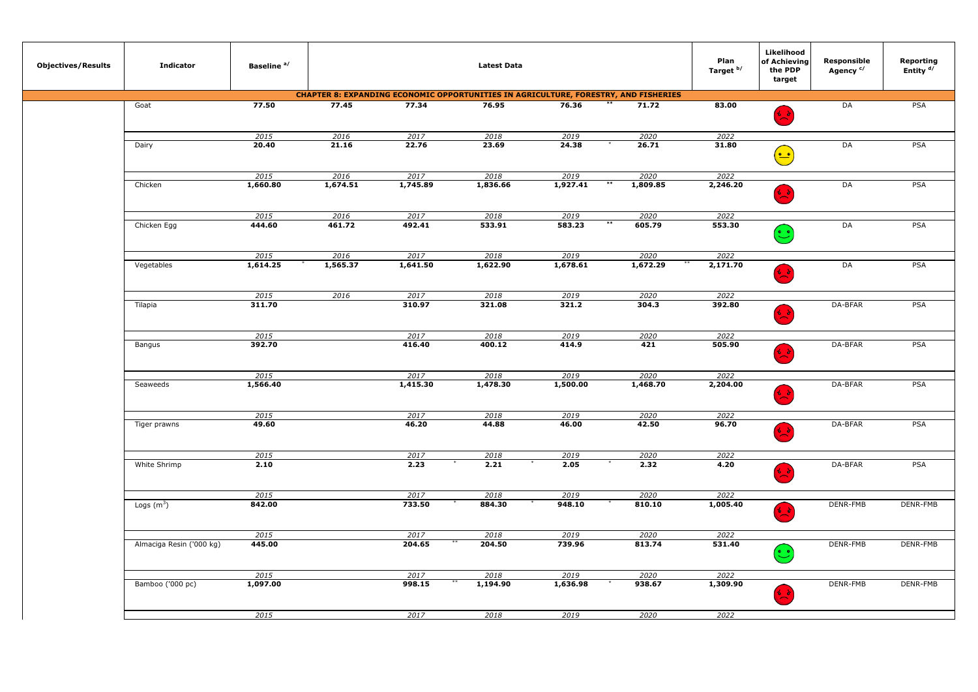| <b>Objectives/Results</b> | <b>Indicator</b>         | Baseline <sup>a/</sup> |          |          | <b>Latest Data</b>                                                                         |          |                 | Plan<br>Target b/ | Likelihood<br>of Achieving<br>the PDP<br>target                                 | Responsible<br>Agency <sup>c/</sup> | Reporting<br>Entity <sup>d/</sup> |
|---------------------------|--------------------------|------------------------|----------|----------|--------------------------------------------------------------------------------------------|----------|-----------------|-------------------|---------------------------------------------------------------------------------|-------------------------------------|-----------------------------------|
|                           |                          |                        |          |          | <b>CHAPTER 8: EXPANDING ECONOMIC OPPORTUNITIES IN AGRICULTURE, FORESTRY, AND FISHERIES</b> |          |                 |                   |                                                                                 |                                     |                                   |
|                           | Goat                     | 77.50                  | 77.45    | 77.34    | 76.95                                                                                      | 76.36    | 71.72           | 83.00             | في                                                                              | DA                                  | <b>PSA</b>                        |
|                           |                          | 2015                   | 2016     | 2017     | 2018                                                                                       | 2019     | 2020            | 2022              |                                                                                 |                                     |                                   |
|                           | Dairy                    | 20.40                  | 21.16    | 22.76    | 23.69                                                                                      | 24.38    | 26.71           | 31.80             |                                                                                 | DA                                  | PSA                               |
|                           |                          |                        |          |          |                                                                                            |          |                 |                   | $\left(\begin{matrix}\bullet & \bullet \\ \bullet & \bullet\end{matrix}\right)$ |                                     |                                   |
|                           |                          | 2015                   | 2016     | 2017     | 2018                                                                                       | 2019     | 2020            | 2022              |                                                                                 |                                     |                                   |
|                           | Chicken                  | 1,660.80               | 1,674.51 | 1,745.89 | 1,836.66                                                                                   | 1,927.41 | 1,809.85        | 2,246.20          | $\frac{1}{2}$                                                                   | DA                                  | <b>PSA</b>                        |
|                           |                          | 2015                   | 2016     | 2017     | 2018                                                                                       | 2019     | 2020            | 2022              |                                                                                 |                                     |                                   |
|                           | Chicken Egg              | 444.60                 | 461.72   | 492.41   | 533.91                                                                                     | 583.23   | $***$<br>605.79 | 553.30            | $\odot$                                                                         | DA                                  | PSA                               |
|                           |                          | 2015                   | 2016     | 2017     | 2018                                                                                       | 2019     | 2020            | 2022              |                                                                                 |                                     |                                   |
|                           | Vegetables               | 1,614.25               | 1,565.37 | 1,641.50 | 1,622.90                                                                                   | 1,678.61 | 1,672.29        | 2,171.70          | $\rightarrow$                                                                   | DA                                  | PSA                               |
|                           |                          | 2015                   | 2016     | 2017     | 2018                                                                                       | 2019     | 2020            | 2022              |                                                                                 |                                     |                                   |
|                           | Tilapia                  | 311.70                 |          | 310.97   | 321.08                                                                                     | 321.2    | 304.3           | 392.80            | 6 ò                                                                             | DA-BFAR                             | <b>PSA</b>                        |
|                           |                          | 2015                   |          | 2017     | 2018                                                                                       | 2019     | 2020            | 2022              |                                                                                 |                                     |                                   |
|                           | Bangus                   | 392.70                 |          | 416.40   | 400.12                                                                                     | 414.9    | 421             | 505.90            |                                                                                 | DA-BFAR                             | PSA                               |
|                           |                          | 2015                   |          | 2017     | 2018                                                                                       | 2019     | 2020            | 2022              |                                                                                 |                                     |                                   |
|                           | Seaweeds                 | 1,566.40               |          | 1,415.30 | 1,478.30                                                                                   | 1,500.00 | 1,468.70        | 2,204.00          |                                                                                 | DA-BFAR                             | <b>PSA</b>                        |
|                           |                          | 2015                   |          | 2017     | 2018                                                                                       | 2019     | 2020            | 2022              |                                                                                 |                                     |                                   |
|                           | Tiger prawns             | 49.60                  |          | 46.20    | 44.88                                                                                      | 46.00    | 42.50           | 96.70             | 6 S                                                                             | DA-BFAR                             | PSA                               |
|                           |                          | 2015                   |          | 2017     | 2018                                                                                       | 2019     | 2020            | 2022              |                                                                                 |                                     |                                   |
|                           | White Shrimp             | 2.10                   |          | 2.23     | 2.21                                                                                       | 2.05     | 2.32            | 4.20              | もよ                                                                              | DA-BFAR                             | PSA                               |
|                           |                          | 2015                   |          | 2017     | 2018                                                                                       | 2019     | 2020            | 2022              |                                                                                 |                                     |                                   |
|                           | Logs $(m^3)$             | 842.00                 |          | 733.50   | 884.30                                                                                     | 948.10   | 810.10          | 1,005.40          | ني کا                                                                           | DENR-FMB                            | DENR-FMB                          |
|                           |                          | 2015                   |          | 2017     | 2018                                                                                       | 2019     | 2020            | 2022              |                                                                                 |                                     |                                   |
|                           | Almaciga Resin ('000 kg) | 445.00                 |          | 204.65   | 204.50                                                                                     | 739.96   | 813.74          | 531.40            | $\left(\begin{matrix}\bullet\\ \bullet\end{matrix}\right)$                      | DENR-FMB                            | DENR-FMB                          |
|                           |                          | 2015                   |          | 2017     | 2018                                                                                       | 2019     | 2020            | 2022              |                                                                                 |                                     |                                   |
|                           | Bamboo ('000 pc)         | 1,097.00               |          | 998.15   | 1,194.90                                                                                   | 1,636.98 | 938.67          | 1,309.90          |                                                                                 | DENR-FMB                            | DENR-FMB                          |
|                           |                          | 2015                   |          | 2017     | 2018                                                                                       | 2019     | 2020            | 2022              |                                                                                 |                                     |                                   |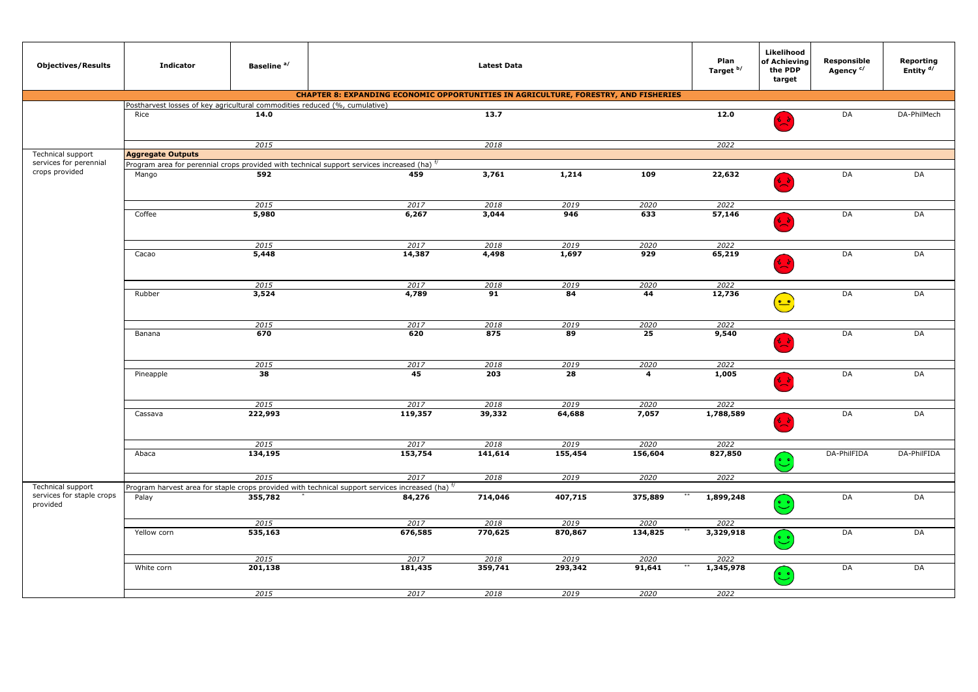| <b>Objectives/Results</b>                                  | <b>Indicator</b>                                                          | Baseline <sup>a/</sup> |                                                                                                                           | <b>Latest Data</b> |                 |                         | Plan<br>Target b/ | Likelihood<br>of Achieving<br>the PDP<br>target | Responsible<br>Agency <sup>c/</sup> | Reporting<br>Entity <sup>d/</sup> |
|------------------------------------------------------------|---------------------------------------------------------------------------|------------------------|---------------------------------------------------------------------------------------------------------------------------|--------------------|-----------------|-------------------------|-------------------|-------------------------------------------------|-------------------------------------|-----------------------------------|
|                                                            |                                                                           |                        | <b>CHAPTER 8: EXPANDING ECONOMIC OPPORTUNITIES IN AGRICULTURE, FORESTRY, AND FISHERIES</b>                                |                    |                 |                         |                   |                                                 |                                     |                                   |
|                                                            | ostharvest losses of key agricultural commodities reduced (%, cumulative) |                        |                                                                                                                           |                    |                 |                         |                   |                                                 |                                     |                                   |
|                                                            | Rice                                                                      | 14.0                   |                                                                                                                           | 13.7               |                 |                         | 12.0              | 63                                              | DA                                  | DA-PhilMech                       |
|                                                            |                                                                           | 2015                   |                                                                                                                           | 2018               |                 |                         | 2022              |                                                 |                                     |                                   |
| Technical support                                          | <b>Aggregate Outputs</b>                                                  |                        |                                                                                                                           |                    |                 |                         |                   |                                                 |                                     |                                   |
| services for perennial                                     |                                                                           |                        | rogram area for perennial crops provided with technical support services increased (ha) $^{f}$                            |                    |                 |                         |                   |                                                 |                                     |                                   |
| crops provided                                             | Mango                                                                     | 592                    | 459                                                                                                                       | 3,761              | 1,214           | 109                     | 22,632            |                                                 | DA                                  | DA                                |
|                                                            |                                                                           |                        |                                                                                                                           |                    |                 |                         |                   | 68                                              |                                     |                                   |
|                                                            |                                                                           | 2015                   | 2017                                                                                                                      | 2018               | 2019            | 2020                    | 2022              |                                                 |                                     |                                   |
|                                                            | Coffee                                                                    | 5,980                  | 6,267                                                                                                                     | 3,044              | 946             | 633                     | 57,146            |                                                 | DA                                  | DA                                |
|                                                            |                                                                           | 2015                   | 2017                                                                                                                      | 2018               | 2019            | 2020                    | 2022              |                                                 |                                     |                                   |
|                                                            | Cacao                                                                     | 5,448                  | 14,387                                                                                                                    | 4,498              | 1,697           | 929                     | 65,219            | د ه                                             | DA                                  | DA                                |
|                                                            |                                                                           | 2015                   | 2017                                                                                                                      | 2018               | 2019            | 2020                    | 2022              |                                                 |                                     |                                   |
|                                                            | Rubber                                                                    | 3,524                  | 4,789                                                                                                                     | 91                 | 84              | 44                      | 12,736            | $\bullet$                                       | DA                                  | DA                                |
|                                                            |                                                                           | 2015                   | 2017                                                                                                                      | 2018               | 2019            | 2020                    | 2022              |                                                 |                                     |                                   |
|                                                            | Banana                                                                    | 670                    | 620                                                                                                                       | 875                | 89              | 25                      | 9,540             |                                                 | DA                                  | DA                                |
|                                                            |                                                                           | 2015                   | 2017                                                                                                                      | 2018               | 2019            | 2020                    | 2022              |                                                 |                                     |                                   |
|                                                            | Pineapple                                                                 | 38                     | 45                                                                                                                        | 203                | 28              | $\overline{\mathbf{4}}$ | 1,005             | نړ ځ                                            | DA                                  | DA                                |
|                                                            |                                                                           | 2015                   | 2017                                                                                                                      | 2018               | 2019            | 2020                    | 2022              |                                                 |                                     |                                   |
|                                                            | Cassava                                                                   | 222,993                | 119,357                                                                                                                   | 39,332             | 64,688          | 7,057                   | 1,788,589         | د ،                                             | DA                                  | DA                                |
|                                                            |                                                                           | 2015                   | 2017                                                                                                                      | 2018               | 2019            | 2020                    | 2022              |                                                 |                                     |                                   |
|                                                            | Abaca                                                                     | 134,195                | 153,754                                                                                                                   | 141,614            | 155,454         | 156,604                 | 827,850           | $\odot$                                         | DA-PhilFIDA                         | DA-PhilFIDA                       |
|                                                            |                                                                           | 2015                   | 2017                                                                                                                      | 2018               | 2019            | 2020                    | 2022              |                                                 |                                     |                                   |
| Technical support<br>services for staple crops<br>provided | Palay                                                                     | 355,782                | Program harvest area for staple crops provided with technical support services increased (ha) $^{\mathfrak{f}}$<br>84,276 | 714,046            | 407,715         | 375,889                 | 1,899,248         | $\odot$                                         | DA                                  | DA                                |
|                                                            |                                                                           |                        |                                                                                                                           |                    |                 |                         |                   |                                                 |                                     |                                   |
|                                                            | Yellow corn                                                               | 2015<br>535,163        | 2017<br>676,585                                                                                                           | 2018<br>770,625    | 2019<br>870,867 | 2020<br>134,825         | 2022<br>3,329,918 |                                                 | DA                                  | DA                                |
|                                                            |                                                                           |                        |                                                                                                                           |                    |                 |                         |                   | $\ddot{\cdot}$                                  |                                     |                                   |
|                                                            |                                                                           | 2015                   | 2017                                                                                                                      | 2018               | 2019            | 2020                    | 2022              |                                                 |                                     |                                   |
|                                                            | White corn                                                                | 201,138                | 181,435                                                                                                                   | 359,741            | 293,342         | 91,641                  | 1,345,978         | $\left[\begin{matrix}\cdot\end{matrix}\right]$  | DA                                  | DA                                |
|                                                            |                                                                           | 2015                   | 2017                                                                                                                      | 2018               | 2019            | 2020                    | 2022              |                                                 |                                     |                                   |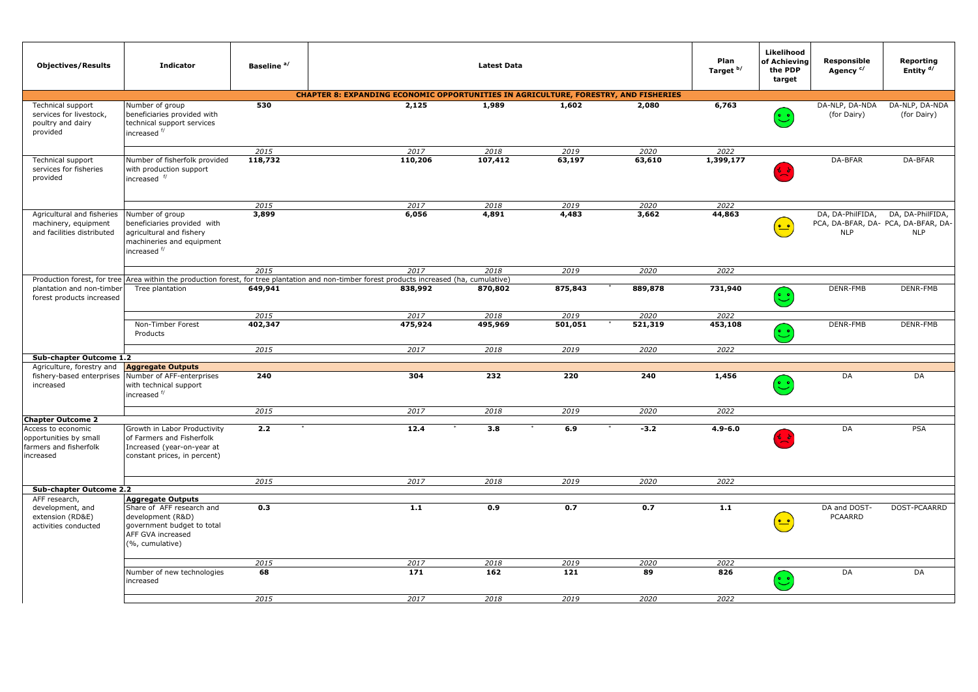| <b>Objectives/Results</b>                                                             | <b>Indicator</b>                                                                                                                   | Baseline <sup>a/</sup> |                                                                                                                             | <b>Latest Data</b> |         |         | Plan<br>Target b/ | Likelihood<br>of Achieving<br>the PDP<br>target | Responsible<br>Agency <sup>c/</sup> | Reporting<br>Entity <sup>d/</sup>                                     |
|---------------------------------------------------------------------------------------|------------------------------------------------------------------------------------------------------------------------------------|------------------------|-----------------------------------------------------------------------------------------------------------------------------|--------------------|---------|---------|-------------------|-------------------------------------------------|-------------------------------------|-----------------------------------------------------------------------|
|                                                                                       |                                                                                                                                    |                        | <b>CHAPTER 8: EXPANDING ECONOMIC OPPORTUNITIES IN AGRICULTURE, FORESTRY, AND FISHERIES</b>                                  |                    |         |         |                   |                                                 |                                     |                                                                       |
| Technical support<br>services for livestock,<br>poultry and dairy<br>provided         | Number of group<br>beneficiaries provided with<br>technical support services<br>increased <sup>f/</sup>                            | 530                    | 2,125                                                                                                                       | 1,989              | 1,602   | 2,080   | 6,763             | ڦ                                               | DA-NLP, DA-NDA<br>(for Dairy)       | DA-NLP, DA-NDA<br>(for Dairy)                                         |
|                                                                                       |                                                                                                                                    | 2015                   | 2017                                                                                                                        | 2018               | 2019    | 2020    | 2022              |                                                 |                                     |                                                                       |
| Technical support<br>services for fisheries<br>provided                               | Number of fisherfolk provided<br>with production support<br>increased <sup>f/</sup>                                                | 118,732                | 110,206                                                                                                                     | 107,412            | 63,197  | 63,610  | 1,399,177         |                                                 | DA-BFAR                             | DA-BFAR                                                               |
|                                                                                       |                                                                                                                                    | 2015                   | 2017                                                                                                                        | 2018               | 2019    | 2020    | 2022              |                                                 |                                     |                                                                       |
| Agricultural and fisheries<br>machinery, equipment<br>and facilities distributed      | Number of group<br>beneficiaries provided with<br>agricultural and fishery<br>machineries and equipment<br>increased <sup>f/</sup> | 3,899                  | 6,056                                                                                                                       | 4,891              | 4,483   | 3,662   | 44,863            | $\frac{1}{2}$                                   | DA, DA-PhilFIDA,<br><b>NLP</b>      | DA, DA-PhilFIDA,<br>PCA, DA-BFAR, DA- PCA, DA-BFAR, DA-<br><b>NLP</b> |
|                                                                                       |                                                                                                                                    | 2015                   | 2017                                                                                                                        | 2018               | 2019    | 2020    | 2022              |                                                 |                                     |                                                                       |
| Production forest, for tree<br>plantation and non-timber<br>forest products increased | Tree plantation                                                                                                                    | 649,941                | Area within the production forest, for tree plantation and non-timber forest products increased (ha, cumulative)<br>838,992 | 870,802            | 875,843 | 889,878 | 731,940           | ಲ                                               | DENR-FMB                            | DENR-FMB                                                              |
|                                                                                       |                                                                                                                                    | 2015                   | 2017                                                                                                                        | 2018               | 2019    | 2020    | 2022              |                                                 |                                     |                                                                       |
|                                                                                       | Non-Timber Forest<br>Products                                                                                                      | 402,347                | 475,924                                                                                                                     | 495,969            | 501,051 | 521,319 | 453,108           | فْ                                              | DENR-FMB                            | DENR-FMB                                                              |
|                                                                                       |                                                                                                                                    | 2015                   | 2017                                                                                                                        | 2018               | 2019    | 2020    | 2022              |                                                 |                                     |                                                                       |
| Sub-chapter Outcome 1.2                                                               |                                                                                                                                    |                        |                                                                                                                             |                    |         |         |                   |                                                 |                                     |                                                                       |
| Agriculture, forestry and<br>fishery-based enterprises<br>increased                   | <b>Aggregate Outputs</b><br>Number of AFF-enterprises<br>with technical support<br>increased <sup>f/</sup>                         | 240                    | 304                                                                                                                         | 232                | 220     | 240     | 1,456             | $\mathbb{C}$                                    | DA                                  | DA                                                                    |
|                                                                                       |                                                                                                                                    | 2015                   | 2017                                                                                                                        | 2018               | 2019    | 2020    | 2022              |                                                 |                                     |                                                                       |
| <b>Chapter Outcome 2</b><br>Access to economic                                        | Growth in Labor Productivity                                                                                                       | 2.2                    | 12.4                                                                                                                        | 3.8                | 6.9     | $-3.2$  | $4.9 - 6.0$       |                                                 | DA                                  | <b>PSA</b>                                                            |
| opportunities by small<br>farmers and fisherfolk<br>increased                         | of Farmers and Fisherfolk<br>Increased (year-on-year at<br>constant prices, in percent)                                            |                        |                                                                                                                             |                    |         |         |                   |                                                 |                                     |                                                                       |
|                                                                                       |                                                                                                                                    | 2015                   | 2017                                                                                                                        | 2018               | 2019    | 2020    | 2022              |                                                 |                                     |                                                                       |
| Sub-chapter Outcome 2.2                                                               |                                                                                                                                    |                        |                                                                                                                             |                    |         |         |                   |                                                 |                                     |                                                                       |
| AFF research,<br>development, and                                                     | <b>Aggregate Outputs</b><br>Share of AFF research and                                                                              | 0.3                    | 1.1                                                                                                                         | 0.9                | 0.7     | 0.7     | 1.1               |                                                 | DA and DOST-                        | DOST-PCAARRD                                                          |
| extension (RD&E)<br>activities conducted                                              | development (R&D)<br>government budget to total<br>AFF GVA increased<br>(%, cumulative)                                            |                        |                                                                                                                             |                    |         |         |                   | $^{\circ}$                                      | <b>PCAARRD</b>                      |                                                                       |
|                                                                                       |                                                                                                                                    | 2015                   | 2017                                                                                                                        | 2018               | 2019    | 2020    | 2022              |                                                 |                                     |                                                                       |
|                                                                                       | Number of new technologies<br>increased                                                                                            | 68                     | 171                                                                                                                         | 162                | 121     | 89      | 826               | ಲಿ                                              | DA                                  | DA                                                                    |
|                                                                                       |                                                                                                                                    | 2015                   | 2017                                                                                                                        | 2018               | 2019    | 2020    | 2022              |                                                 |                                     |                                                                       |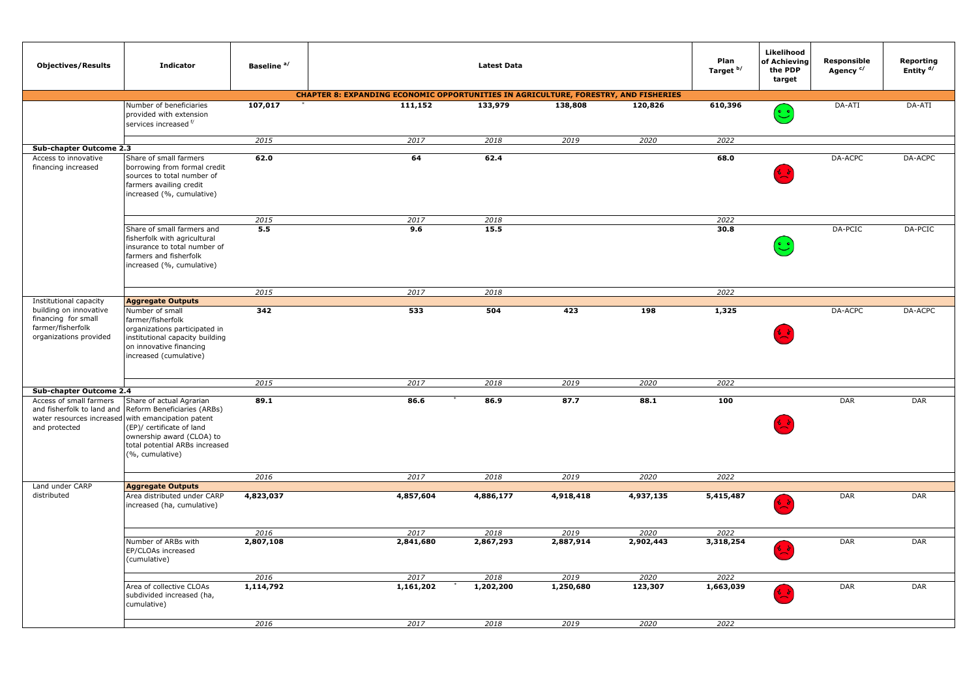| <b>Objectives/Results</b>                                                                    | <b>Indicator</b>                                                                                                                                                                                                             | Baseline <sup>a/</sup> |                                                                                            | <b>Latest Data</b> |           |           | Plan<br>Target b/ | Likelihood<br>of Achieving<br>the PDP<br>target | Responsible<br>Agency <sup>c/</sup> | Reporting<br>Entity <sup>d/</sup> |
|----------------------------------------------------------------------------------------------|------------------------------------------------------------------------------------------------------------------------------------------------------------------------------------------------------------------------------|------------------------|--------------------------------------------------------------------------------------------|--------------------|-----------|-----------|-------------------|-------------------------------------------------|-------------------------------------|-----------------------------------|
|                                                                                              |                                                                                                                                                                                                                              |                        | <b>CHAPTER 8: EXPANDING ECONOMIC OPPORTUNITIES IN AGRICULTURE, FORESTRY, AND FISHERIES</b> |                    |           |           |                   |                                                 |                                     |                                   |
|                                                                                              | Number of beneficiaries<br>provided with extension<br>services increased f/                                                                                                                                                  | 107,017                | 111,152                                                                                    | 133,979            | 138,808   | 120,826   | 610,396           | ಲ                                               | DA-ATI                              | DA-ATI                            |
|                                                                                              |                                                                                                                                                                                                                              | 2015                   | 2017                                                                                       | 2018               | 2019      | 2020      | 2022              |                                                 |                                     |                                   |
| Sub-chapter Outcome 2.3                                                                      |                                                                                                                                                                                                                              |                        |                                                                                            |                    |           |           |                   |                                                 |                                     |                                   |
| Access to innovative<br>financing increased                                                  | Share of small farmers<br>borrowing from formal credit<br>sources to total number of<br>farmers availing credit<br>increased (%, cumulative)                                                                                 | 62.0                   | 64                                                                                         | 62.4               |           |           | 68.0              |                                                 | DA-ACPC                             | DA-ACPC                           |
|                                                                                              |                                                                                                                                                                                                                              | 2015                   | 2017                                                                                       | 2018               |           |           | 2022              |                                                 |                                     |                                   |
|                                                                                              | Share of small farmers and<br>fisherfolk with agricultural<br>insurance to total number of<br>farmers and fisherfolk<br>increased (%, cumulative)                                                                            | 5.5                    | 9.6                                                                                        | 15.5               |           |           | 30.8              |                                                 | DA-PCIC                             | DA-PCIC                           |
|                                                                                              |                                                                                                                                                                                                                              | 2015                   | 2017                                                                                       | 2018               |           |           | 2022              |                                                 |                                     |                                   |
| Institutional capacity                                                                       | <b>Aggregate Outputs</b>                                                                                                                                                                                                     |                        |                                                                                            |                    |           |           |                   |                                                 |                                     |                                   |
| building on innovative<br>financing for small<br>farmer/fisherfolk<br>organizations provided | Number of small<br>farmer/fisherfolk<br>organizations participated in<br>institutional capacity building<br>on innovative financing<br>increased (cumulative)                                                                | 342                    | 533                                                                                        | 504                | 423       | 198       | 1,325             |                                                 | DA-ACPC                             | DA-ACPC                           |
|                                                                                              |                                                                                                                                                                                                                              | 2015                   | 2017                                                                                       | 2018               | 2019      | 2020      | 2022              |                                                 |                                     |                                   |
| Sub-chapter Outcome 2.4                                                                      |                                                                                                                                                                                                                              |                        |                                                                                            |                    |           |           |                   |                                                 |                                     |                                   |
| Access of small farmers<br>and fisherfolk to land and<br>and protected                       | Share of actual Agrarian<br>Reform Beneficiaries (ARBs)<br>water resources increased with emancipation patent<br>(EP)/ certificate of land<br>ownership award (CLOA) to<br>total potential ARBs increased<br>(%, cumulative) | 89.1                   | 86.6                                                                                       | 86.9               | 87.7      | 88.1      | 100               |                                                 | DAR                                 | DAR                               |
|                                                                                              |                                                                                                                                                                                                                              | 2016                   | 2017                                                                                       | 2018               | 2019      | 2020      | 2022              |                                                 |                                     |                                   |
| Land under CARP                                                                              | <b>Aggregate Outputs</b>                                                                                                                                                                                                     |                        |                                                                                            |                    |           |           |                   |                                                 |                                     |                                   |
| distributed                                                                                  | Area distributed under CARP<br>increased (ha, cumulative)                                                                                                                                                                    | 4,823,037              | 4,857,604                                                                                  | 4,886,177          | 4,918,418 | 4,937,135 | 5,415,487         |                                                 | DAR                                 | DAR                               |
|                                                                                              |                                                                                                                                                                                                                              | 2016                   | 2017                                                                                       | 2018               | 2019      | 2020      | 2022              |                                                 |                                     |                                   |
|                                                                                              | Number of ARBs with<br>EP/CLOAs increased<br>(cumulative)                                                                                                                                                                    | 2,807,108              | 2,841,680                                                                                  | 2,867,293          | 2,887,914 | 2,902,443 | 3,318,254         |                                                 | DAR                                 | DAR                               |
|                                                                                              |                                                                                                                                                                                                                              | 2016                   | 2017                                                                                       | 2018               | 2019      | 2020      | 2022              |                                                 |                                     |                                   |
|                                                                                              | Area of collective CLOAs<br>subdivided increased (ha,<br>cumulative)                                                                                                                                                         | 1,114,792              | 1,161,202                                                                                  | 1,202,200          | 1,250,680 | 123,307   | 1,663,039         |                                                 | <b>DAR</b>                          | DAR                               |
|                                                                                              |                                                                                                                                                                                                                              | 2016                   | 2017                                                                                       | 2018               | 2019      | 2020      | 2022              |                                                 |                                     |                                   |